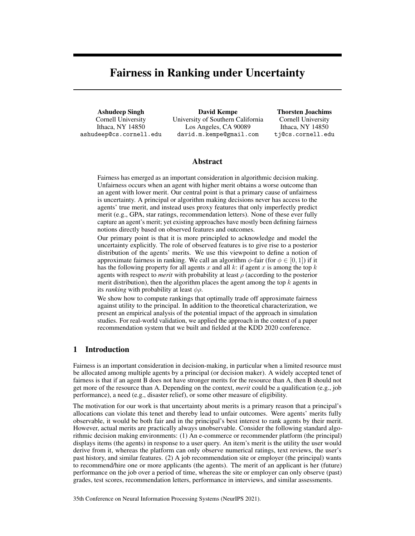# Fairness in Ranking under Uncertainty

Ashudeep Singh Cornell University Ithaca, NY 14850 ashudeep@cs.cornell.edu

David Kempe University of Southern California Los Angeles, CA 90089 david.m.kempe@gmail.com

Thorsten Joachims Cornell University Ithaca, NY 14850 tj@cs.cornell.edu

## Abstract

Fairness has emerged as an important consideration in algorithmic decision making. Unfairness occurs when an agent with higher merit obtains a worse outcome than an agent with lower merit. Our central point is that a primary cause of unfairness is uncertainty. A principal or algorithm making decisions never has access to the agents' true merit, and instead uses proxy features that only imperfectly predict merit (e.g., GPA, star ratings, recommendation letters). None of these ever fully capture an agent's merit; yet existing approaches have mostly been defining fairness notions directly based on observed features and outcomes.

Our primary point is that it is more principled to acknowledge and model the uncertainty explicitly. The role of observed features is to give rise to a posterior distribution of the agents' merits. We use this viewpoint to define a notion of approximate fairness in ranking. We call an algorithm  $\phi$ -fair (for  $\phi \in [0, 1]$ ) if it has the following property for all agents x and all  $k$ : if agent x is among the top  $k$ agents with respect to *merit* with probability at least  $\rho$  (according to the posterior merit distribution), then the algorithm places the agent among the top  $k$  agents in its *ranking* with probability at least  $\phi \rho$ .

We show how to compute rankings that optimally trade off approximate fairness against utility to the principal. In addition to the theoretical characterization, we present an empirical analysis of the potential impact of the approach in simulation studies. For real-world validation, we applied the approach in the context of a paper recommendation system that we built and fielded at the KDD 2020 conference.

# 1 Introduction

Fairness is an important consideration in decision-making, in particular when a limited resource must be allocated among multiple agents by a principal (or decision maker). A widely accepted tenet of fairness is that if an agent B does not have stronger merits for the resource than A, then B should not get more of the resource than A. Depending on the context, *merit* could be a qualification (e.g., job performance), a need (e.g., disaster relief), or some other measure of eligibility.

The motivation for our work is that uncertainty about merits is a primary reason that a principal's allocations can violate this tenet and thereby lead to unfair outcomes. Were agents' merits fully observable, it would be both fair and in the principal's best interest to rank agents by their merit. However, actual merits are practically always unobservable. Consider the following standard algorithmic decision making environments: (1) An e-commerce or recommender platform (the principal) displays items (the agents) in response to a user query. An item's merit is the utility the user would derive from it, whereas the platform can only observe numerical ratings, text reviews, the user's past history, and similar features. (2) A job recommendation site or employer (the principal) wants to recommend/hire one or more applicants (the agents). The merit of an applicant is her (future) performance on the job over a period of time, whereas the site or employer can only observe (past) grades, test scores, recommendation letters, performance in interviews, and similar assessments.

35th Conference on Neural Information Processing Systems (NeurIPS 2021).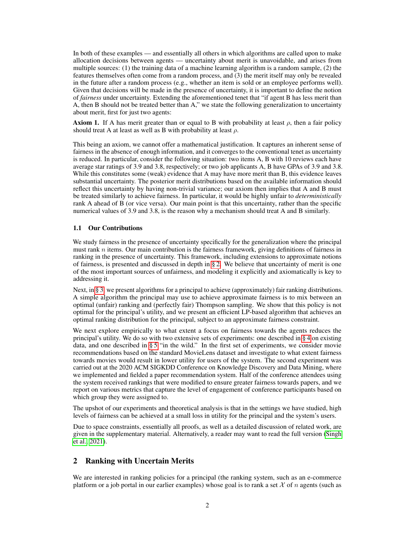In both of these examples — and essentially all others in which algorithms are called upon to make allocation decisions between agents — uncertainty about merit is unavoidable, and arises from multiple sources: (1) the training data of a machine learning algorithm is a random sample, (2) the features themselves often come from a random process, and (3) the merit itself may only be revealed in the future after a random process (e.g., whether an item is sold or an employee performs well). Given that decisions will be made in the presence of uncertainty, it is important to define the notion of *fairness* under uncertainty. Extending the aforementioned tenet that "if agent B has less merit than A, then B should not be treated better than A," we state the following generalization to uncertainty about merit, first for just two agents:

**Axiom 1.** If A has merit greater than or equal to B with probability at least  $\rho$ , then a fair policy should treat A at least as well as B with probability at least  $\rho$ .

This being an axiom, we cannot offer a mathematical justification. It captures an inherent sense of fairness in the absence of enough information, and it converges to the conventional tenet as uncertainty is reduced. In particular, consider the following situation: two items A, B with 10 reviews each have average star ratings of 3.9 and 3.8, respectively; or two job applicants A, B have GPAs of 3.9 and 3.8. While this constitutes some (weak) evidence that A may have more merit than B, this evidence leaves substantial uncertainty. The posterior merit distributions based on the available information should reflect this uncertainty by having non-trivial variance; our axiom then implies that A and B must be treated similarly to achieve fairness. In particular, it would be highly unfair to *deterministically* rank A ahead of B (or vice versa). Our main point is that this uncertainty, rather than the specific numerical values of 3.9 and 3.8, is the reason why a mechanism should treat A and B similarly.

### 1.1 Our Contributions

We study fairness in the presence of uncertainty specifically for the generalization where the principal must rank  $n$  items. Our main contribution is the fairness framework, giving definitions of fairness in ranking in the presence of uncertainty. This framework, including extensions to approximate notions of fairness, is presented and discussed in depth in § 2. We believe that uncertainty of merit is one of the most important sources of unfairness, and modeling it explicitly and axiomatically is key to addressing it.

Next, in § 3, we present algorithms for a principal to achieve (approximately) fair ranking distributions. A simple algorithm the principal may use to achieve approximate fairness is to mix between an optimal (unfair) ranking and (perfectly fair) Thompson sampling. We show that this policy is not optimal for the principal's utility, and we present an efficient LP-based algorithm that achieves an optimal ranking distribution for the principal, subject to an approximate fairness constraint.

We next explore empirically to what extent a focus on fairness towards the agents reduces the principal's utility. We do so with two extensive sets of experiments: one described in § 4 on existing data, and one described in § 5 "in the wild." In the first set of experiments, we consider movie recommendations based on the standard MovieLens dataset and investigate to what extent fairness towards movies would result in lower utility for users of the system. The second experiment was carried out at the 2020 ACM SIGKDD Conference on Knowledge Discovery and Data Mining, where we implemented and fielded a paper recommendation system. Half of the conference attendees using the system received rankings that were modified to ensure greater fairness towards papers, and we report on various metrics that capture the level of engagement of conference participants based on which group they were assigned to.

The upshot of our experiments and theoretical analysis is that in the settings we have studied, high levels of fairness can be achieved at a small loss in utility for the principal and the system's users.

Due to space constraints, essentially all proofs, as well as a detailed discussion of related work, are given in the supplementary material. Alternatively, a reader may want to read the full version (Singh et al., 2021).

## 2 Ranking with Uncertain Merits

We are interested in ranking policies for a principal (the ranking system, such as an e-commerce platform or a job portal in our earlier examples) whose goal is to rank a set  $\mathcal X$  of n agents (such as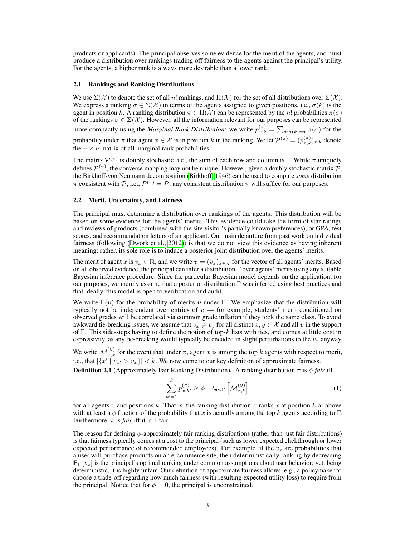products or applicants). The principal observes some evidence for the merit of the agents, and must produce a distribution over rankings trading off fairness to the agents against the principal's utility. For the agents, a higher rank is always more desirable than a lower rank.

#### 2.1 Rankings and Ranking Distributions

We use  $\Sigma(\mathcal{X})$  to denote the set of all n! rankings, and  $\Pi(\mathcal{X})$  for the set of all distributions over  $\Sigma(\mathcal{X})$ . We express a ranking  $\sigma \in \Sigma(\mathcal{X})$  in terms of the agents assigned to given positions, i.e.,  $\sigma(k)$  is the agent in position k. A ranking distribution  $\pi \in \Pi(\mathcal{X})$  can be represented by the n! probabilities  $\pi(\sigma)$ of the rankings  $\sigma \in \Sigma(\mathcal{X})$ . However, all the information relevant for our purposes can be represented more compactly using the *Marginal Rank Distribution*: we write  $p_{x,k}^{(\pi)} = \sum_{\sigma : \sigma(k)=x} \pi(\sigma)$  for the probability under  $\pi$  that agent  $x \in \mathcal{X}$  is in position k in the ranking. We let  $\mathcal{P}^{(\pi)} = (p_{x,k}^{(\pi)})_{x,k}$  denote

the  $n \times n$  matrix of all marginal rank probabilities.

The matrix  $\mathcal{P}^{(\pi)}$  is doubly stochastic, i.e., the sum of each row and column is 1. While  $\pi$  uniquely defines  $\mathcal{P}^{(\pi)}$ , the converse mapping may not be unique. However, given a doubly stochastic matrix  $\mathcal{P}$ , the Birkhoff-von Neumann decomposition (Birkhoff, 1946) can be used to compute *some* distribution  $\pi$  consistent with  $\mathcal{P}$ , i.e.,  $\mathcal{P}^{(\pi)} = \mathcal{P}$ ; any consistent distribution  $\pi$  will suffice for our purposes.

#### 2.2 Merit, Uncertainty, and Fairness

The principal must determine a distribution over rankings of the agents. This distribution will be based on some evidence for the agents' merits. This evidence could take the form of star ratings and reviews of products (combined with the site visitor's partially known preferences), or GPA, test scores, and recommendation letters of an applicant. Our main departure from past work on individual fairness (following (Dwork et al., 2012)) is that we do not view this evidence as having inherent meaning; rather, its sole role is to induce a posterior joint distribution over the agents' merits.

The merit of agent x is  $v_x \in \mathbb{R}$ , and we write  $v = (v_x)_{x \in \mathcal{X}}$  for the vector of all agents' merits. Based on all observed evidence, the principal can infer a distribution Γ over agents' merits using any suitable Bayesian inference procedure. Since the particular Bayesian model depends on the application, for our purposes, we merely assume that a posterior distribution  $\Gamma$  was inferred using best practices and that ideally, this model is open to verification and audit.

We write  $\Gamma(v)$  for the probability of merits v under Γ. We emphasize that the distribution will typically not be independent over entries of  $v$  — for example, students' merit conditioned on observed grades will be correlated via common grade inflation if they took the same class. To avoid awkward tie-breaking issues, we assume that  $v_x \neq v_y$  for all distinct  $x, y \in \mathcal{X}$  and all v in the support of Γ. This side-steps having to define the notion of top-k lists with ties, and comes at little cost in expressivity, as any tie-breaking would typically be encoded in slight perturbations to the  $v_x$  anyway.

We write  $\mathcal{M}_{x,k}^{(v)}$  for the event that under v, agent x is among the top k agents with respect to merit, i.e., that  $|\{x' | v_{x'} > v_x\}| < k$ . We now come to our key definition of approximate fairness.

**Definition 2.1** (Approximately Fair Ranking Distribution). A ranking distribution  $\pi$  is  $\phi$ -fair iff

$$
\sum_{k'=1}^{k} p_{x,k'}^{(\pi)} \ge \phi \cdot \mathbb{P}_{v \sim \Gamma} \left[ \mathcal{M}_{x,k}^{(v)} \right] \tag{1}
$$

for all agents x and positions k. That is, the ranking distribution  $\pi$  ranks x at position k or above with at least a  $\phi$  fraction of the probability that x is actually among the top k agents according to Γ. Furthermore,  $\pi$  is *fair* iff it is 1-fair.

The reason for defining  $\phi$ -approximately fair ranking distributions (rather than just fair distributions) is that fairness typically comes at a cost to the principal (such as lower expected clickthrough or lower expected performance of recommended employees). For example, if the  $v<sub>x</sub>$  are probabilities that a user will purchase products on an e-commerce site, then deterministically ranking by decreasing  $\mathbb{E}_{\Gamma}[v_x]$  is the principal's optimal ranking under common assumptions about user behavior; yet, being deterministic, it is highly unfair. Our definition of approximate fairness allows, e.g., a policymaker to choose a trade-off regarding how much fairness (with resulting expected utility loss) to require from the principal. Notice that for  $\phi = 0$ , the principal is unconstrained.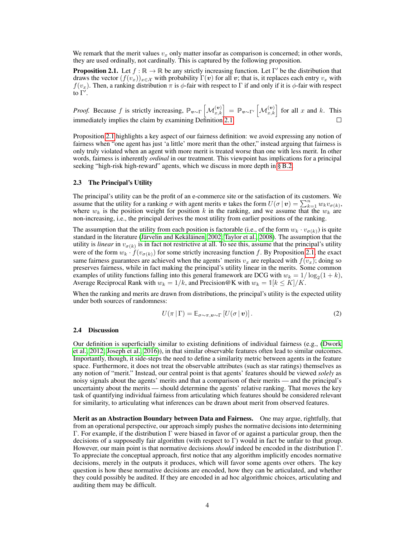We remark that the merit values  $v<sub>r</sub>$  only matter insofar as comparison is concerned; in other words, they are used ordinally, not cardinally. This is captured by the following proposition.

**Proposition 2.1.** Let  $f : \mathbb{R} \to \mathbb{R}$  be any strictly increasing function. Let  $\Gamma'$  be the distribution that draws the vector  $(f(v_x))_{x\in\mathcal{X}}$  with probability  $\Gamma(v)$  for all v; that is, it replaces each entry  $v_x$  with  $f(v_x)$ . Then, a ranking distribution  $\pi$  is  $\phi$ -fair with respect to Γ if and only if it is  $\phi$ -fair with respect to  $\Gamma'$ .

*Proof.* Because f is strictly increasing,  $\mathbb{P}_{v \sim \Gamma} \left[ \mathcal{M}_{x,k}^{(v)} \right] = \mathbb{P}_{v \sim \Gamma'} \left[ \mathcal{M}_{x,k}^{(v)} \right]$  for all x and k. This immediately implies the claim by examining Definition 2.1.

Proposition 2.1 highlights a key aspect of our fairness definition: we avoid expressing any notion of fairness when "one agent has just 'a little' more merit than the other," instead arguing that fairness is only truly violated when an agent with more merit is treated worse than one with less merit. In other words, fairness is inherently *ordinal* in our treatment. This viewpoint has implications for a principal seeking "high-risk high-reward" agents, which we discuss in more depth in § B.2.

#### 2.3 The Principal's Utility

The principal's utility can be the profit of an e-commerce site or the satisfaction of its customers. We assume that the utility for a ranking  $\sigma$  with agent merits v takes the form  $U(\sigma | v) = \sum_{k=1}^{n} w_k v_{\sigma(k)}$ , where  $w_k$  is the position weight for position k in the ranking, and we assume that the  $w_k$  are non-increasing, i.e., the principal derives the most utility from earlier positions of the ranking.

The assumption that the utility from each position is factorable (i.e., of the form  $w_k \cdot v_{\sigma(k)}$ ) is quite standard in the literature (Järvelin and Kekäläinen, 2002; Taylor et al., 2008). The assumption that the utility is *linear* in  $v_{\sigma(k)}$  is in fact not restrictive at all. To see this, assume that the principal's utility were of the form  $w_k \cdot f(v_{\sigma(k)})$  for some strictly increasing function f. By Proposition 2.1, the exact same fairness guarantees are achieved when the agents' merits  $v_x$  are replaced with  $f(v_x)$ ; doing so preserves fairness, while in fact making the principal's utility linear in the merits. Some common examples of utility functions falling into this general framework are DCG with  $w_k = 1/\log_2(1 + k)$ , Average Reciprocal Rank with  $w_k = 1/k$ , and Precision@K with  $w_k = 1/k \le K/K$ .

When the ranking and merits are drawn from distributions, the principal's utility is the expected utility under both sources of randomness:

$$
U(\pi | \Gamma) = \mathbb{E}_{\sigma \sim \pi, \boldsymbol{v} \sim \Gamma} \left[ U(\sigma | \boldsymbol{v}) \right]. \tag{2}
$$

#### 2.4 Discussion

Our definition is superficially similar to existing definitions of individual fairness (e.g., (Dwork et al., 2012; Joseph et al., 2016)), in that similar observable features often lead to similar outcomes. Importantly, though, it side-steps the need to define a similarity metric between agents in the feature space. Furthermore, it does not treat the observable attributes (such as star ratings) themselves as any notion of "merit." Instead, our central point is that agents' features should be viewed *solely* as noisy signals about the agents' merits and that a comparison of their merits — and the principal's uncertainty about the merits — should determine the agents' relative ranking. That moves the key task of quantifying individual fairness from articulating which features should be considered relevant for similarity, to articulating what inferences can be drawn about merit from observed features.

Merit as an Abstraction Boundary between Data and Fairness. One may argue, rightfully, that from an operational perspective, our approach simply pushes the normative decisions into determining Γ. For example, if the distribution Γ were biased in favor of or against a particular group, then the decisions of a supposedly fair algorithm (with respect to Γ) would in fact be unfair to that group. However, our main point is that normative decisions *should* indeed be encoded in the distribution Γ. To appreciate the conceptual approach, first notice that any algorithm implicitly encodes normative decisions, merely in the outputs it produces, which will favor some agents over others. The key question is how these normative decisions are encoded, how they can be articulated, and whether they could possibly be audited. If they are encoded in ad hoc algorithmic choices, articulating and auditing them may be difficult.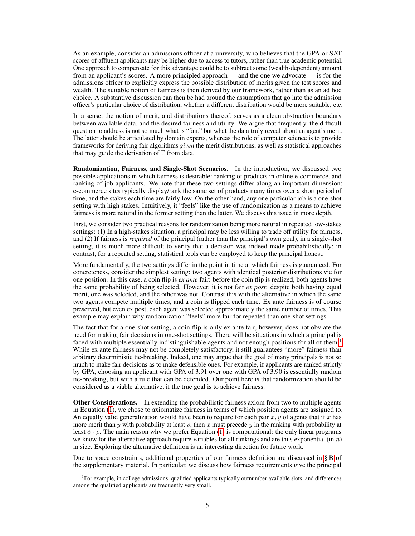As an example, consider an admissions officer at a university, who believes that the GPA or SAT scores of affluent applicants may be higher due to access to tutors, rather than true academic potential. One approach to compensate for this advantage could be to subtract some (wealth-dependent) amount from an applicant's scores. A more principled approach — and the one we advocate — is for the admissions officer to explicitly express the possible distribution of merits given the test scores and wealth. The suitable notion of fairness is then derived by our framework, rather than as an ad hoc choice. A substantive discussion can then be had around the assumptions that go into the admission officer's particular choice of distribution, whether a different distribution would be more suitable, etc.

In a sense, the notion of merit, and distributions thereof, serves as a clean abstraction boundary between available data, and the desired fairness and utility. We argue that frequently, the difficult question to address is not so much what is "fair," but what the data truly reveal about an agent's merit. The latter should be articulated by domain experts, whereas the role of computer science is to provide frameworks for deriving fair algorithms *given* the merit distributions, as well as statistical approaches that may guide the derivation of  $\Gamma$  from data.

Randomization, Fairness, and Single-Shot Scenarios. In the introduction, we discussed two possible applications in which fairness is desirable: ranking of products in online e-commerce, and ranking of job applicants. We note that these two settings differ along an important dimension: e-commerce sites typically display/rank the same set of products many times over a short period of time, and the stakes each time are fairly low. On the other hand, any one particular job is a one-shot setting with high stakes. Intuitively, it "feels" like the use of randomization as a means to achieve fairness is more natural in the former setting than the latter. We discuss this issue in more depth.

First, we consider two practical reasons for randomization being more natural in repeated low-stakes settings: (1) In a high-stakes situation, a principal may be less willing to trade off utility for fairness, and (2) If fairness is *required* of the principal (rather than the principal's own goal), in a single-shot setting, it is much more difficult to verify that a decision was indeed made probabilistically; in contrast, for a repeated setting, statistical tools can be employed to keep the principal honest.

More fundamentally, the two settings differ in the point in time at which fairness is guaranteed. For concreteness, consider the simplest setting: two agents with identical posterior distributions vie for one position. In this case, a coin flip is *ex ante* fair: before the coin flip is realized, both agents have the same probability of being selected. However, it is not fair *ex post*: despite both having equal merit, one was selected, and the other was not. Contrast this with the alternative in which the same two agents compete multiple times, and a coin is flipped each time. Ex ante fairness is of course preserved, but even ex post, each agent was selected approximately the same number of times. This example may explain why randomization "feels" more fair for repeated than one-shot settings.

The fact that for a one-shot setting, a coin flip is only ex ante fair, however, does not obviate the need for making fair decisions in one-shot settings. There will be situations in which a principal is faced with multiple essentially indistinguishable agents and not enough positions for all of them.<sup>1</sup> While ex ante fairness may not be completely satisfactory, it still guarantees "more" fairness than arbitrary deterministic tie-breaking. Indeed, one may argue that the goal of many principals is not so much to make fair decisions as to make defensible ones. For example, if applicants are ranked strictly by GPA, choosing an applicant with GPA of 3.91 over one with GPA of 3.90 is essentially random tie-breaking, but with a rule that can be defended. Our point here is that randomization should be considered as a viable alternative, if the true goal is to achieve fairness.

Other Considerations. In extending the probabilistic fairness axiom from two to multiple agents in Equation (1), we chose to axiomatize fairness in terms of which position agents are assigned to. An equally valid generalization would have been to require for each pair  $x, y$  of agents that if x has more merit than y with probability at least  $\rho$ , then x must precede y in the ranking with probability at least  $\phi \cdot \rho$ . The main reason why we prefer Equation (1) is computational: the only linear programs we know for the alternative approach require variables for all rankings and are thus exponential (in  $n$ ) in size. Exploring the alternative definition is an interesting direction for future work.

Due to space constraints, additional properties of our fairness definition are discussed in § B of the supplementary material. In particular, we discuss how fairness requirements give the principal

<sup>&</sup>lt;sup>1</sup>For example, in college admissions, qualified applicants typically outnumber available slots, and differences among the qualified applicants are frequently very small.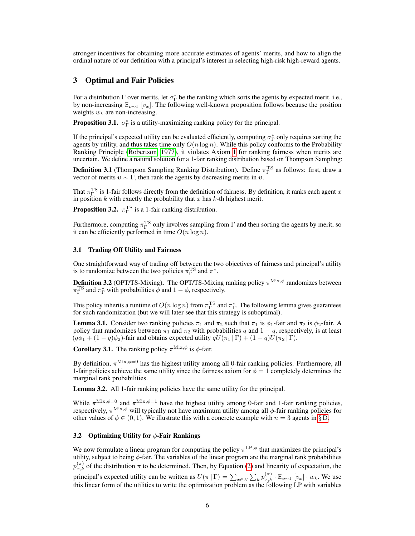stronger incentives for obtaining more accurate estimates of agents' merits, and how to align the ordinal nature of our definition with a principal's interest in selecting high-risk high-reward agents.

## 3 Optimal and Fair Policies

For a distribution  $\Gamma$  over merits, let  $\sigma_{\Gamma}^*$  be the ranking which sorts the agents by expected merit, i.e., by non-increasing  $\mathbb{E}_{v\sim\Gamma}[v_x]$ . The following well-known proposition follows because the position weights  $w_k$  are non-increasing.

**Proposition 3.1.**  $\sigma_{\Gamma}^*$  is a utility-maximizing ranking policy for the principal.

If the principal's expected utility can be evaluated efficiently, computing  $\sigma_{\Gamma}^*$  only requires sorting the agents by utility, and thus takes time only  $O(n \log n)$ . While this policy conforms to the Probability Ranking Principle (Robertson, 1977), it violates Axiom 1 for ranking fairness when merits are uncertain. We define a natural solution for a 1-fair ranking distribution based on Thompson Sampling:

**Definition 3.1** (Thompson Sampling Ranking Distribution). Define  $\pi_{\Gamma}^{TS}$  as follows: first, draw a vector of merits  $v \sim \Gamma$ , then rank the agents by decreasing merits in v.

That  $\pi_{\Gamma}^{TS}$  is 1-fair follows directly from the definition of fairness. By definition, it ranks each agent x in position k with exactly the probability that x has k-th highest merit.

**Proposition 3.2.**  $\pi_{\Gamma}^{\text{TS}}$  is a 1-fair ranking distribution.

Furthermore, computing  $\pi_{\Gamma}^{TS}$  only involves sampling from  $\Gamma$  and then sorting the agents by merit, so it can be efficiently performed in time  $O(n \log n)$ .

#### 3.1 Trading Off Utility and Fairness

One straightforward way of trading off between the two objectives of fairness and principal's utility is to randomize between the two policies  $\pi_{\Gamma}^{\text{TS}}$  and  $\pi^*$ .

**Definition 3.2** (OPT/TS-Mixing). The OPT/TS-Mixing ranking policy  $\pi^{\text{Mix},\phi}$  randomizes between  $\pi_{\Gamma}^{\text{TS}}$  and  $\pi_{\Gamma}^{*}$  with probabilities  $\bar{\phi}$  and  $1 - \phi$ , respectively.

This policy inherits a runtime of  $O(n \log n)$  from  $\pi_{\Gamma}^{TS}$  and  $\pi_{\Gamma}^{*}$ . The following lemma gives guarantees for such randomization (but we will later see that this strategy is suboptimal).

**Lemma 3.1.** Consider two ranking policies  $\pi_1$  and  $\pi_2$  such that  $\pi_1$  is  $\phi_1$ -fair and  $\pi_2$  is  $\phi_2$ -fair. A policy that randomizes between  $\pi_1$  and  $\pi_2$  with probabilities q and  $1 - q$ , respectively, is at least  $(q\phi_1 + (1-q)\phi_2)$ -fair and obtains expected utility  $qU(\pi_1 | \Gamma) + (1-q)U(\pi_2 | \Gamma)$ .

**Corollary 3.1.** The ranking policy  $\pi^{\text{Mix},\phi}$  is  $\phi$ -fair.

By definition,  $\pi^{\text{Mix},\phi=0}$  has the highest utility among all 0-fair ranking policies. Furthermore, all 1-fair policies achieve the same utility since the fairness axiom for  $\phi = 1$  completely determines the marginal rank probabilities.

Lemma 3.2. All 1-fair ranking policies have the same utility for the principal.

While  $\pi^{\text{Mix},\phi=0}$  and  $\pi^{\text{Mix},\phi=1}$  have the highest utility among 0-fair and 1-fair ranking policies, respectively,  $\pi^{\text{Mix},\phi}$  will typically not have maximum utility among all  $\phi$ -fair ranking policies for other values of  $\phi \in (0, 1)$ . We illustrate this with a concrete example with  $n = 3$  agents in § D.

#### 3.2 Optimizing Utility for  $\phi$ -Fair Rankings

We now formulate a linear program for computing the policy  $\pi^{\text{LP},\phi}$  that maximizes the principal's utility, subject to being  $\phi$ -fair. The variables of the linear program are the marginal rank probabilities  $p_{x,k}^{(\pi)}$  of the distribution  $\pi$  to be determined. Then, by Equation (2) and linearity of expectation, the principal's expected utility can be written as  $U(\pi | \Gamma) = \sum_{x \in \mathcal{X}} \sum_k p_{x,k}^{(\pi)} \cdot \mathbb{E}_{v \sim \Gamma} [v_x] \cdot w_k$ . We use this linear form of the utilities to write the optimization problem as the following LP with variables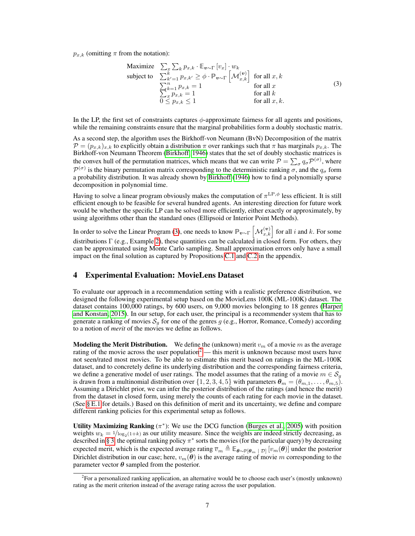$p_{rk}$  (omitting  $\pi$  from the notation):

$$
\begin{array}{ll}\n\text{Maximize} & \sum_{x} \sum_{k} p_{x,k} \cdot \mathbb{E}_{\mathbf{v} \sim \Gamma} \left[ v_x \right] \cdot w_k \\
\text{subject to} & \sum_{k'=1}^k p_{x,k'} \ge \phi \cdot \mathbb{P}_{\mathbf{v} \sim \Gamma} \left[ \mathcal{M}_{x,k}^{(\mathbf{v})} \right] \quad \text{for all } x, k \\
& \sum_{k=1}^n p_{x,k} = 1 \\
& \sum_{x} p_{x,k} = 1 \\
& 0 \le p_{x,k} \le 1\n\end{array} \qquad \text{for all } k \quad \text{for all } x, k.
$$
\n
$$
(3)
$$

In the LP, the first set of constraints captures  $\phi$ -approximate fairness for all agents and positions, while the remaining constraints ensure that the marginal probabilities form a doubly stochastic matrix.

As a second step, the algorithm uses the Birkhoff-von Neumann (BvN) Decomposition of the matrix  $\mathcal{P} = (p_{x,k})_{x,k}$  to explicitly obtain a distribution  $\pi$  over rankings such that  $\pi$  has marginals  $p_{x,k}$ . The Birkhoff-von Neumann Theorem (Birkhoff, 1946) states that the set of doubly stochastic matrices is the convex hull of the permutation matrices, which means that we can write  $P = \sum_{\sigma} q_{\sigma} P^{(\sigma)}$ , where  $\mathcal{P}^{(\sigma)}$  is the binary permutation matrix corresponding to the deterministic ranking  $\sigma$ , and the  $q_{\sigma}$  form a probability distribution. It was already shown by Birkhoff (1946) how to find a polynomially sparse decomposition in polynomial time.

Having to solve a linear program obviously makes the computation of  $\pi^{\mathrm{LP},\phi}$  less efficient. It is still efficient enough to be feasible for several hundred agents. An interesting direction for future work would be whether the specific LP can be solved more efficiently, either exactly or approximately, by using algorithms other than the standard ones (Ellipsoid or Interior Point Methods).

In order to solve the Linear Program (3), one needs to know  $\mathbb{P}_{v \sim \Gamma} \left[ \mathcal{M}_{x,k}^{(v)} \right]$  for all  $i$  and  $k$ . For some distributions Γ (e.g., Example 2), these quantities can be calculated in closed form. For others, they can be approximated using Monte Carlo sampling. Small approximation errors only have a small impact on the final solution as captured by Propositions C.1 and C.2 in the appendix.

# 4 Experimental Evaluation: MovieLens Dataset

To evaluate our approach in a recommendation setting with a realistic preference distribution, we designed the following experimental setup based on the MovieLens 100K (ML-100K) dataset. The dataset contains 100,000 ratings, by 600 users, on 9,000 movies belonging to 18 genres (Harper and Konstan, 2015). In our setup, for each user, the principal is a recommender system that has to generate a ranking of movies  $S_q$  for one of the genres g (e.g., Horror, Romance, Comedy) according to a notion of *merit* of the movies we define as follows.

**Modeling the Merit Distribution.** We define the (unknown) merit  $v_m$  of a movie m as the average rating of the movie across the user population<sup>2</sup> — this merit is unknown because most users have not seen/rated most movies. To be able to estimate this merit based on ratings in the ML-100K dataset, and to concretely define its underlying distribution and the corresponding fairness criteria, we define a generative model of user ratings. The model assumes that the rating of a movie  $m \in S_g$ is drawn from a multinomial distribution over  $\{1, 2, 3, 4, 5\}$  with parameters  $\theta_m = (\theta_{m,1}, \dots, \theta_{m,5})$ . Assuming a Dirichlet prior, we can infer the posterior distribution of the ratings (and hence the merit) from the dataset in closed form, using merely the counts of each rating for each movie in the dataset. (See § E.1 for details.) Based on this definition of merit and its uncertainty, we define and compare different ranking policies for this experimental setup as follows.

Utility Maximizing Ranking  $(\pi^*)$ : We use the DCG function (Burges et al., 2005) with position weights  $w_k = 1/\log_2(1+k)$  as our utility measure. Since the weights are indeed strictly decreasing, as described in § 3, the optimal ranking policy  $\pi^*$  sorts the movies (for the particular query) by decreasing expected merit, which is the expected average rating  $\overline{v}_m \triangleq \mathbb{E}_{\theta \sim \mathbb{P}[\theta_m | \mathcal{D}]}[v_m(\theta)]$  under the posterior Dirichlet distribution in our case; here,  $v_m(\theta)$  is the average rating of movie m corresponding to the parameter vector  $\theta$  sampled from the posterior.

<sup>2</sup> For a personalized ranking application, an alternative would be to choose each user's (mostly unknown) rating as the merit criterion instead of the average rating across the user population.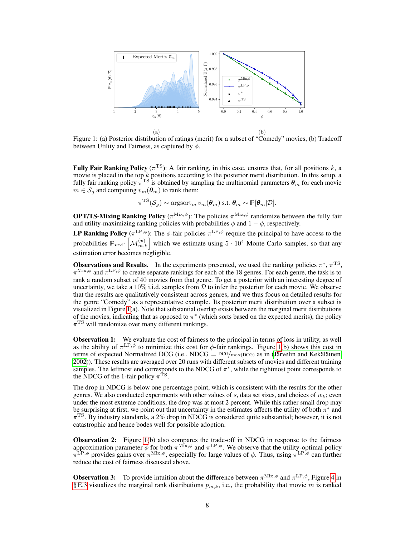

Figure 1: (a) Posterior distribution of ratings (merit) for a subset of "Comedy" movies, (b) Tradeoff between Utility and Fairness, as captured by  $\phi$ .

Fully Fair Ranking Policy ( $\pi$ <sup>TS</sup>): A fair ranking, in this case, ensures that, for all positions k, a movie is placed in the top  $k$  positions according to the posterior merit distribution. In this setup, a fully fair ranking policy  $\pi^{\rm TS}$  is obtained by sampling the multinomial parameters  $\bm{\theta}_m$  for each movie  $m \in S_q$  and computing  $v_m(\theta_m)$  to rank them:

$$
\pi^{\mathrm{TS}}(\mathcal{S}_g) \sim \mathrm{argsort}_{m} \, v_m(\boldsymbol{\theta}_m) \text{ s.t. } \boldsymbol{\theta}_m \sim \mathbb{P}[\boldsymbol{\theta}_m | \mathcal{D}].
$$

**OPT/TS-Mixing Ranking Policy** ( $\pi^{\text{Mix},\phi}$ ): The policies  $\pi^{\text{Mix},\phi}$  randomize between the fully fair and utility-maximizing ranking policies with probabilities  $\phi$  and  $1 - \phi$ , respectively.

**LP Ranking Policy** ( $\pi^{\text{LP},\phi}$ ): The  $\phi$ -fair policies  $\pi^{\text{LP},\phi}$  require the principal to have access to the probabilities  $\mathbb{P}_{v\sim\Gamma} \left[ \mathcal{M}_{m,k}^{(v)} \right]$  which we estimate using  $5 \cdot 10^4$  Monte Carlo samples, so that any estimation error becomes negligible.

**Observations and Results.** In the experiments presented, we used the ranking policies  $\pi^*$ ,  $\pi^{\text{TS}}$ ,  $\pi^{\text{Mix},\phi}$  and  $\pi^{\text{LP},\phi}$  to create separate rankings for each of the 18 genres. For each genre, the task is to rank a random subset of 40 movies from that genre. To get a posterior with an interesting degree of uncertainty, we take a  $10\%$  i.i.d. samples from D to infer the posterior for each movie. We observe that the results are qualitatively consistent across genres, and we thus focus on detailed results for the genre "Comedy" as a representative example. Its posterior merit distribution over a subset is visualized in Figure 1(a). Note that substantial overlap exists between the marginal merit distributions of the movies, indicating that as opposed to  $\pi^*$  (which sorts based on the expected merits), the policy  $\pi$ <sup>TS</sup> will randomize over many different rankings.

**Observation 1:** We evaluate the cost of fairness to the principal in terms of loss in utility, as well as the ability of  $\pi^{\text{LP},\phi}$  to minimize this cost for  $\phi$ -fair rankings. Figure 1(b) shows this cost in terms of expected Normalized DCG (i.e., NDCG =  $DCG/max(DCG)$  as in (Järvelin and Kekäläinen, 2002)). These results are averaged over 20 runs with different subsets of movies and different training samples. The leftmost end corresponds to the NDCG of  $\pi^*$ , while the rightmost point corresponds to the NDCG of the 1-fair policy  $\pi$ <sup>TS</sup>.

The drop in NDCG is below one percentage point, which is consistent with the results for the other genres. We also conducted experiments with other values of s, data set sizes, and choices of  $w_k$ ; even under the most extreme conditions, the drop was at most 2 percent. While this rather small drop may be surprising at first, we point out that uncertainty in the estimates affects the utility of both  $\pi^*$  and  $\pi$ <sup>TS</sup>. By industry standards, a 2% drop in NDCG is considered quite substantial; however, it is not catastrophic and hence bodes well for possible adoption.

**Observation 2:** Figure 1(b) also compares the trade-off in NDCG in response to the fairness approximation parameter  $\phi$  for both  $\pi^{\text{Mix},\phi}$  and  $\pi^{\text{LP},\phi}$ . We observe that the utility-optimal policy  $\pi^{\text{LP},\phi}$  provides gains over  $\pi^{\text{Mix},\phi}$ , especially for large values of  $\phi$ . Thus, using  $\pi^{\text{LP},\phi}$  can further reduce the cost of fairness discussed above.

**Observation 3:** To provide intuition about the difference between  $\pi^{\text{Mix},\phi}$  and  $\pi^{\text{LP},\phi}$ , Figure 4 in § E.3 visualizes the marginal rank distributions  $p_{m,k}$ , i.e., the probability that movie m is ranked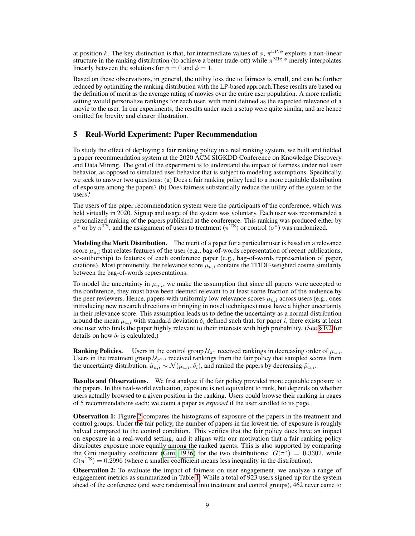at position k. The key distinction is that, for intermediate values of  $\phi$ ,  $\pi^{\text{LP},\phi}$  exploits a non-linear structure in the ranking distribution (to achieve a better trade-off) while  $\pi^{\text{Mix},\phi}$  merely interpolates linearly between the solutions for  $\phi = 0$  and  $\phi = 1$ .

Based on these observations, in general, the utility loss due to fairness is small, and can be further reduced by optimizing the ranking distribution with the LP-based approach.These results are based on the definition of merit as the average rating of movies over the entire user population. A more realistic setting would personalize rankings for each user, with merit defined as the expected relevance of a movie to the user. In our experiments, the results under such a setup were quite similar, and are hence omitted for brevity and clearer illustration.

## 5 Real-World Experiment: Paper Recommendation

To study the effect of deploying a fair ranking policy in a real ranking system, we built and fielded a paper recommendation system at the 2020 ACM SIGKDD Conference on Knowledge Discovery and Data Mining. The goal of the experiment is to understand the impact of fairness under real user behavior, as opposed to simulated user behavior that is subject to modeling assumptions. Specifically, we seek to answer two questions: (a) Does a fair ranking policy lead to a more equitable distribution of exposure among the papers? (b) Does fairness substantially reduce the utility of the system to the users?

The users of the paper recommendation system were the participants of the conference, which was held virtually in 2020. Signup and usage of the system was voluntary. Each user was recommended a personalized ranking of the papers published at the conference. This ranking was produced either by  $\sigma^*$  or by  $\pi^{\rm TS}$ , and the assignment of users to treatment ( $\pi^{\rm TS}$ ) or control ( $\sigma^*$ ) was randomized.

Modeling the Merit Distribution. The merit of a paper for a particular user is based on a relevance score  $\mu_{u,i}$  that relates features of the user (e.g., bag-of-words representation of recent publications, co-authorship) to features of each conference paper (e.g., bag-of-words representation of paper, citations). Most prominently, the relevance score  $\mu_{u,i}$  contains the TFIDF-weighted cosine similarity between the bag-of-words representations.

To model the uncertainty in  $\mu_{u,i}$ , we make the assumption that since all papers were accepted to the conference, they must have been deemed relevant to at least some fraction of the audience by the peer reviewers. Hence, papers with uniformly low relevance scores  $\mu_{u,i}$  across users (e.g., ones introducing new research directions or bringing in novel techniques) must have a higher uncertainty in their relevance score. This assumption leads us to define the uncertainty as a normal distribution around the mean  $\mu_{u,i}$  with standard deviation  $\delta_i$  defined such that, for paper i, there exists at least one user who finds the paper highly relevant to their interests with high probability. (See § F.2 for details on how  $\delta_i$  is calculated.)

**Ranking Policies.** Users in the control group  $\mathcal{U}_{\pi^*}$  received rankings in decreasing order of  $\mu_{u,i}$ . Users in the treatment group  $U_{\pi^{TS}}$  received rankings from the fair policy that sampled scores from the uncertainty distribution,  $\hat{\mu}_{u,i} \sim \mathcal{N}(\mu_{u,i}, \delta_i)$ , and ranked the papers by decreasing  $\hat{\mu}_{u,i}$ .

Results and Observations. We first analyze if the fair policy provided more equitable exposure to the papers. In this real-world evaluation, exposure is not equivalent to rank, but depends on whether users actually browsed to a given position in the ranking. Users could browse their ranking in pages of 5 recommendations each; we count a paper as *exposed* if the user scrolled to its page.

Observation 1: Figure 2 compares the histograms of exposure of the papers in the treatment and control groups. Under the fair policy, the number of papers in the lowest tier of exposure is roughly halved compared to the control condition. This verifies that the fair policy does have an impact on exposure in a real-world setting, and it aligns with our motivation that a fair ranking policy distributes exposure more equally among the ranked agents. This is also supported by comparing the Gini inequality coefficient (Gini, 1936) for the two distributions:  $G(\pi^*) = 0.3302$ , while  $G(\pi^{\text{TS}}) = 0.2996$  (where a smaller coefficient means less inequality in the distribution).

Observation 2: To evaluate the impact of fairness on user engagement, we analyze a range of engagement metrics as summarized in Table 1. While a total of 923 users signed up for the system ahead of the conference (and were randomized into treatment and control groups), 462 never came to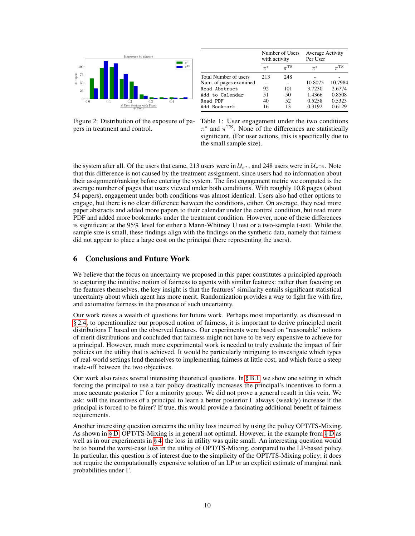

|                        | Number of Users<br>with activity |                     | Average Activity<br>Per User |                     |
|------------------------|----------------------------------|---------------------|------------------------------|---------------------|
|                        | $\pi^*$                          | $\pi$ <sup>TS</sup> | $\pi^*$                      | $\pi$ <sup>TS</sup> |
| Total Number of users  | 213                              | 248                 |                              |                     |
| Num. of pages examined |                                  |                     | 10.8075                      | 10.7984             |
| Read Abstract          | 92                               | 101                 | 3.7230                       | 2.6774              |
| Add to Calendar        | 51                               | 50                  | 1.4366                       | 0.8508              |
| Read PDF               | 40                               | 52                  | 0.5258                       | 0.5323              |
| Add Bookmark           | 16                               | 13                  | 0.3192                       | 0.6129              |

Figure 2: Distribution of the exposure of papers in treatment and control.

Table 1: User engagement under the two conditions  $\pi^*$  and  $\pi^{\text{TS}}$ . None of the differences are statistically significant. (For user actions, this is specifically due to the small sample size).

the system after all. Of the users that came, 213 users were in  $\mathcal{U}_{\pi^*}$ , and 248 users were in  $\mathcal{U}_{\pi^T}$ s. Note that this difference is not caused by the treatment assignment, since users had no information about their assignment/ranking before entering the system. The first engagement metric we computed is the average number of pages that users viewed under both conditions. With roughly 10.8 pages (about 54 papers), engagement under both conditions was almost identical. Users also had other options to engage, but there is no clear difference between the conditions, either. On average, they read more paper abstracts and added more papers to their calendar under the control condition, but read more PDF and added more bookmarks under the treatment condition. However, none of these differences is significant at the 95% level for either a Mann-Whitney U test or a two-sample t-test. While the sample size is small, these findings align with the findings on the synthetic data, namely that fairness did not appear to place a large cost on the principal (here representing the users).

# 6 Conclusions and Future Work

We believe that the focus on uncertainty we proposed in this paper constitutes a principled approach to capturing the intuitive notion of fairness to agents with similar features: rather than focusing on the features themselves, the key insight is that the features' similarity entails significant statistical uncertainty about which agent has more merit. Randomization provides a way to fight fire with fire, and axiomatize fairness in the presence of such uncertainty.

Our work raises a wealth of questions for future work. Perhaps most importantly, as discussed in § 2.4, to operationalize our proposed notion of fairness, it is important to derive principled merit distributions Γ based on the observed features. Our experiments were based on "reasonable" notions of merit distributions and concluded that fairness might not have to be very expensive to achieve for a principal. However, much more experimental work is needed to truly evaluate the impact of fair policies on the utility that is achieved. It would be particularly intriguing to investigate which types of real-world settings lend themselves to implementing fairness at little cost, and which force a steep trade-off between the two objectives.

Our work also raises several interesting theoretical questions. In § B.1, we show one setting in which forcing the principal to use a fair policy drastically increases the principal's incentives to form a more accurate posterior  $\Gamma$  for a minority group. We did not prove a general result in this vein. We ask: will the incentives of a principal to learn a better posterior  $\Gamma$  always (weakly) increase if the principal is forced to be fairer? If true, this would provide a fascinating additional benefit of fairness requirements.

Another interesting question concerns the utility loss incurred by using the policy OPT/TS-Mixing. As shown in § D, OPT/TS-Mixing is in general not optimal. However, in the example from § D as well as in our experiments in § 4, the loss in utility was quite small. An interesting question would be to bound the worst-case loss in the utility of OPT/TS-Mixing, compared to the LP-based policy. In particular, this question is of interest due to the simplicity of the OPT/TS-Mixing policy; it does not require the computationally expensive solution of an LP or an explicit estimate of marginal rank probabilities under Γ.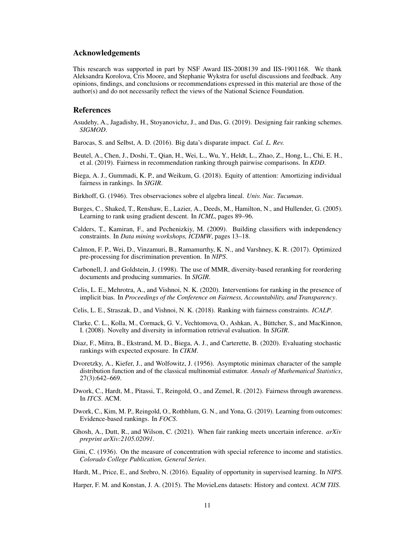## Acknowledgements

This research was supported in part by NSF Award IIS-2008139 and IIS-1901168. We thank Aleksandra Korolova, Cris Moore, and Stephanie Wykstra for useful discussions and feedback. Any opinions, findings, and conclusions or recommendations expressed in this material are those of the author(s) and do not necessarily reflect the views of the National Science Foundation.

## References

- Asudehy, A., Jagadishy, H., Stoyanovichz, J., and Das, G. (2019). Designing fair ranking schemes. *SIGMOD*.
- Barocas, S. and Selbst, A. D. (2016). Big data's disparate impact. *Cal. L. Rev.*
- Beutel, A., Chen, J., Doshi, T., Qian, H., Wei, L., Wu, Y., Heldt, L., Zhao, Z., Hong, L., Chi, E. H., et al. (2019). Fairness in recommendation ranking through pairwise comparisons. In *KDD*.
- Biega, A. J., Gummadi, K. P., and Weikum, G. (2018). Equity of attention: Amortizing individual fairness in rankings. In *SIGIR*.
- Birkhoff, G. (1946). Tres observaciones sobre el algebra lineal. *Univ. Nac. Tucuman*.
- Burges, C., Shaked, T., Renshaw, E., Lazier, A., Deeds, M., Hamilton, N., and Hullender, G. (2005). Learning to rank using gradient descent. In *ICML*, pages 89–96.
- Calders, T., Kamiran, F., and Pechenizkiy, M. (2009). Building classifiers with independency constraints. In *Data mining workshops, ICDMW*, pages 13–18.
- Calmon, F. P., Wei, D., Vinzamuri, B., Ramamurthy, K. N., and Varshney, K. R. (2017). Optimized pre-processing for discrimination prevention. In *NIPS*.
- Carbonell, J. and Goldstein, J. (1998). The use of MMR, diversity-based reranking for reordering documents and producing summaries. In *SIGIR*.
- Celis, L. E., Mehrotra, A., and Vishnoi, N. K. (2020). Interventions for ranking in the presence of implicit bias. In *Proceedings of the Conference on Fairness, Accountability, and Transparency*.
- Celis, L. E., Straszak, D., and Vishnoi, N. K. (2018). Ranking with fairness constraints. *ICALP*.
- Clarke, C. L., Kolla, M., Cormack, G. V., Vechtomova, O., Ashkan, A., Büttcher, S., and MacKinnon, I. (2008). Novelty and diversity in information retrieval evaluation. In *SIGIR*.
- Diaz, F., Mitra, B., Ekstrand, M. D., Biega, A. J., and Carterette, B. (2020). Evaluating stochastic rankings with expected exposure. In *CIKM*.
- Dvoretzky, A., Kiefer, J., and Wolfowitz, J. (1956). Asymptotic minimax character of the sample distribution function and of the classical multinomial estimator. *Annals of Mathematical Statistics*, 27(3):642–669.
- Dwork, C., Hardt, M., Pitassi, T., Reingold, O., and Zemel, R. (2012). Fairness through awareness. In *ITCS*. ACM.
- Dwork, C., Kim, M. P., Reingold, O., Rothblum, G. N., and Yona, G. (2019). Learning from outcomes: Evidence-based rankings. In *FOCS*.
- Ghosh, A., Dutt, R., and Wilson, C. (2021). When fair ranking meets uncertain inference. *arXiv preprint arXiv:2105.02091*.
- Gini, C. (1936). On the measure of concentration with special reference to income and statistics. *Colorado College Publication, General Series*.
- Hardt, M., Price, E., and Srebro, N. (2016). Equality of opportunity in supervised learning. In *NIPS*.

Harper, F. M. and Konstan, J. A. (2015). The MovieLens datasets: History and context. *ACM TIIS*.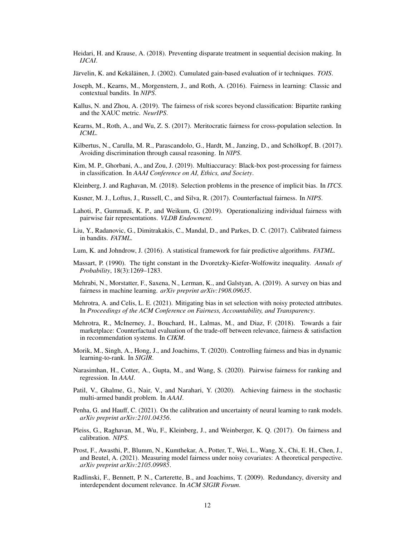- Heidari, H. and Krause, A. (2018). Preventing disparate treatment in sequential decision making. In *IJCAI*.
- Järvelin, K. and Kekäläinen, J. (2002). Cumulated gain-based evaluation of ir techniques. *TOIS*.
- Joseph, M., Kearns, M., Morgenstern, J., and Roth, A. (2016). Fairness in learning: Classic and contextual bandits. In *NIPS*.
- Kallus, N. and Zhou, A. (2019). The fairness of risk scores beyond classification: Bipartite ranking and the XAUC metric. *NeurIPS*.
- Kearns, M., Roth, A., and Wu, Z. S. (2017). Meritocratic fairness for cross-population selection. In *ICML*.
- Kilbertus, N., Carulla, M. R., Parascandolo, G., Hardt, M., Janzing, D., and Schölkopf, B. (2017). Avoiding discrimination through causal reasoning. In *NIPS*.
- Kim, M. P., Ghorbani, A., and Zou, J. (2019). Multiaccuracy: Black-box post-processing for fairness in classification. In *AAAI Conference on AI, Ethics, and Society*.
- Kleinberg, J. and Raghavan, M. (2018). Selection problems in the presence of implicit bias. In *ITCS*.
- Kusner, M. J., Loftus, J., Russell, C., and Silva, R. (2017). Counterfactual fairness. In *NIPS*.
- Lahoti, P., Gummadi, K. P., and Weikum, G. (2019). Operationalizing individual fairness with pairwise fair representations. *VLDB Endowment*.
- Liu, Y., Radanovic, G., Dimitrakakis, C., Mandal, D., and Parkes, D. C. (2017). Calibrated fairness in bandits. *FATML*.
- Lum, K. and Johndrow, J. (2016). A statistical framework for fair predictive algorithms. *FATML*.
- Massart, P. (1990). The tight constant in the Dvoretzky-Kiefer-Wolfowitz inequality. *Annals of Probability*, 18(3):1269–1283.
- Mehrabi, N., Morstatter, F., Saxena, N., Lerman, K., and Galstyan, A. (2019). A survey on bias and fairness in machine learning. *arXiv preprint arXiv:1908.09635*.
- Mehrotra, A. and Celis, L. E. (2021). Mitigating bias in set selection with noisy protected attributes. In *Proceedings of the ACM Conference on Fairness, Accountability, and Transparency*.
- Mehrotra, R., McInerney, J., Bouchard, H., Lalmas, M., and Diaz, F. (2018). Towards a fair marketplace: Counterfactual evaluation of the trade-off between relevance, fairness & satisfaction in recommendation systems. In *CIKM*.
- Morik, M., Singh, A., Hong, J., and Joachims, T. (2020). Controlling fairness and bias in dynamic learning-to-rank. In *SIGIR*.
- Narasimhan, H., Cotter, A., Gupta, M., and Wang, S. (2020). Pairwise fairness for ranking and regression. In *AAAI*.
- Patil, V., Ghalme, G., Nair, V., and Narahari, Y. (2020). Achieving fairness in the stochastic multi-armed bandit problem. In *AAAI*.
- Penha, G. and Hauff, C. (2021). On the calibration and uncertainty of neural learning to rank models. *arXiv preprint arXiv:2101.04356*.
- Pleiss, G., Raghavan, M., Wu, F., Kleinberg, J., and Weinberger, K. Q. (2017). On fairness and calibration. *NIPS*.
- Prost, F., Awasthi, P., Blumm, N., Kumthekar, A., Potter, T., Wei, L., Wang, X., Chi, E. H., Chen, J., and Beutel, A. (2021). Measuring model fairness under noisy covariates: A theoretical perspective. *arXiv preprint arXiv:2105.09985*.
- Radlinski, F., Bennett, P. N., Carterette, B., and Joachims, T. (2009). Redundancy, diversity and interdependent document relevance. In *ACM SIGIR Forum*.